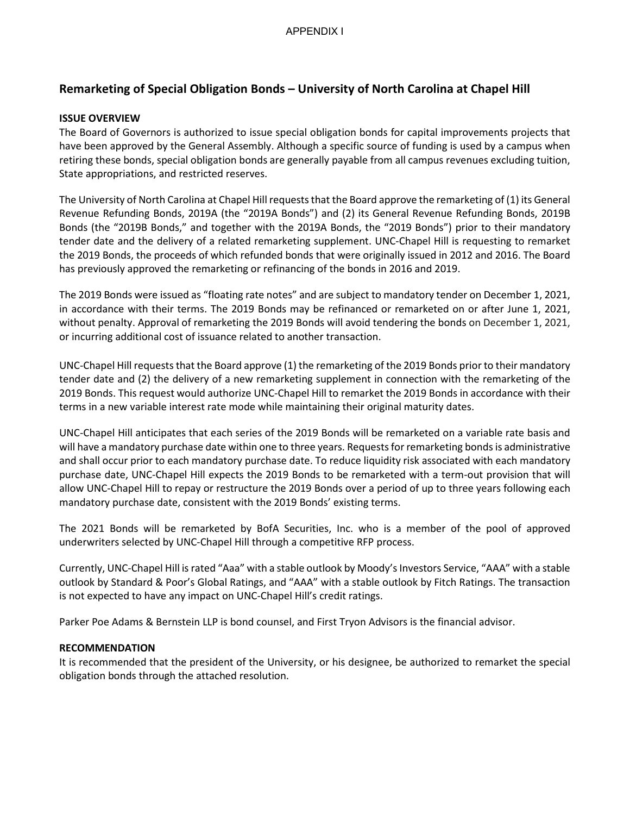# **Remarketing of Special Obligation Bonds – University of North Carolina at Chapel Hill**

# **ISSUE OVERVIEW**

The Board of Governors is authorized to issue special obligation bonds for capital improvements projects that have been approved by the General Assembly. Although a specific source of funding is used by a campus when retiring these bonds, special obligation bonds are generally payable from all campus revenues excluding tuition, State appropriations, and restricted reserves.

The University of North Carolina at Chapel Hill requests that the Board approve the remarketing of (1) its General Revenue Refunding Bonds, 2019A (the "2019A Bonds") and (2) its General Revenue Refunding Bonds, 2019B Bonds (the "2019B Bonds," and together with the 2019A Bonds, the "2019 Bonds") prior to their mandatory tender date and the delivery of a related remarketing supplement. UNC-Chapel Hill is requesting to remarket the 2019 Bonds, the proceeds of which refunded bonds that were originally issued in 2012 and 2016. The Board has previously approved the remarketing or refinancing of the bonds in 2016 and 2019.

The 2019 Bonds were issued as "floating rate notes" and are subject to mandatory tender on December 1, 2021, in accordance with their terms. The 2019 Bonds may be refinanced or remarketed on or after June 1, 2021, without penalty. Approval of remarketing the 2019 Bonds will avoid tendering the bonds on December 1, 2021, or incurring additional cost of issuance related to another transaction.

UNC-Chapel Hill requests that the Board approve (1) the remarketing of the 2019 Bonds prior to their mandatory tender date and (2) the delivery of a new remarketing supplement in connection with the remarketing of the 2019 Bonds. This request would authorize UNC-Chapel Hill to remarket the 2019 Bonds in accordance with their terms in a new variable interest rate mode while maintaining their original maturity dates.

UNC-Chapel Hill anticipates that each series of the 2019 Bonds will be remarketed on a variable rate basis and will have a mandatory purchase date within one to three years. Requests for remarketing bonds is administrative and shall occur prior to each mandatory purchase date. To reduce liquidity risk associated with each mandatory purchase date, UNC-Chapel Hill expects the 2019 Bonds to be remarketed with a term-out provision that will allow UNC-Chapel Hill to repay or restructure the 2019 Bonds over a period of up to three years following each mandatory purchase date, consistent with the 2019 Bonds' existing terms.

The 2021 Bonds will be remarketed by BofA Securities, Inc. who is a member of the pool of approved underwriters selected by UNC-Chapel Hill through a competitive RFP process.

Currently, UNC-Chapel Hill is rated "Aaa" with a stable outlook by Moody's Investors Service, "AAA" with a stable outlook by Standard & Poor's Global Ratings, and "AAA" with a stable outlook by Fitch Ratings. The transaction is not expected to have any impact on UNC-Chapel Hill's credit ratings.

Parker Poe Adams & Bernstein LLP is bond counsel, and First Tryon Advisors is the financial advisor.

# **RECOMMENDATION**

It is recommended that the president of the University, or his designee, be authorized to remarket the special obligation bonds through the attached resolution.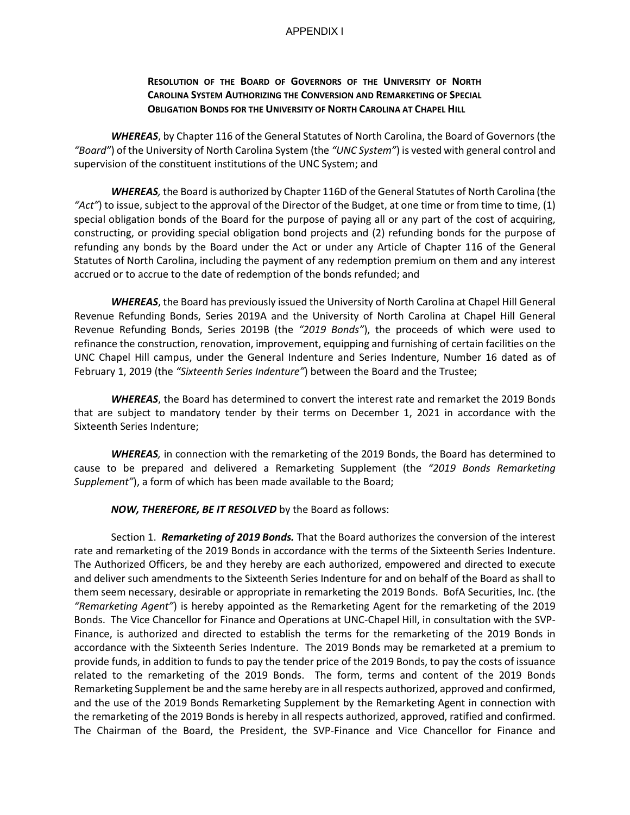#### APPENDIX I

### **RESOLUTION OF THE BOARD OF GOVERNORS OF THE UNIVERSITY OF NORTH CAROLINA SYSTEM AUTHORIZING THE CONVERSION AND REMARKETING OF SPECIAL OBLIGATION BONDS FOR THE UNIVERSITY OF NORTH CAROLINA AT CHAPEL HILL**

*WHEREAS*, by Chapter 116 of the General Statutes of North Carolina, the Board of Governors (the *"Board"*) of the University of North Carolina System (the *"UNC System"*) is vested with general control and supervision of the constituent institutions of the UNC System; and

*WHEREAS,* the Board is authorized by Chapter 116D of the General Statutes of North Carolina (the *"Act"*) to issue, subject to the approval of the Director of the Budget, at one time or from time to time, (1) special obligation bonds of the Board for the purpose of paying all or any part of the cost of acquiring, constructing, or providing special obligation bond projects and (2) refunding bonds for the purpose of refunding any bonds by the Board under the Act or under any Article of Chapter 116 of the General Statutes of North Carolina, including the payment of any redemption premium on them and any interest accrued or to accrue to the date of redemption of the bonds refunded; and

*WHEREAS*, the Board has previously issued the University of North Carolina at Chapel Hill General Revenue Refunding Bonds, Series 2019A and the University of North Carolina at Chapel Hill General Revenue Refunding Bonds, Series 2019B (the *"2019 Bonds"*), the proceeds of which were used to refinance the construction, renovation, improvement, equipping and furnishing of certain facilities on the UNC Chapel Hill campus, under the General Indenture and Series Indenture, Number 16 dated as of February 1, 2019 (the *"Sixteenth Series Indenture"*) between the Board and the Trustee;

*WHEREAS*, the Board has determined to convert the interest rate and remarket the 2019 Bonds that are subject to mandatory tender by their terms on December 1, 2021 in accordance with the Sixteenth Series Indenture;

*WHEREAS,* in connection with the remarketing of the 2019 Bonds, the Board has determined to cause to be prepared and delivered a Remarketing Supplement (the *"2019 Bonds Remarketing Supplement"*), a form of which has been made available to the Board;

*NOW, THEREFORE, BE IT RESOLVED* by the Board as follows:

Section 1. *Remarketing of 2019 Bonds.* That the Board authorizes the conversion of the interest rate and remarketing of the 2019 Bonds in accordance with the terms of the Sixteenth Series Indenture. The Authorized Officers, be and they hereby are each authorized, empowered and directed to execute and deliver such amendments to the Sixteenth Series Indenture for and on behalf of the Board as shall to them seem necessary, desirable or appropriate in remarketing the 2019 Bonds. BofA Securities, Inc. (the *"Remarketing Agent"*) is hereby appointed as the Remarketing Agent for the remarketing of the 2019 Bonds. The Vice Chancellor for Finance and Operations at UNC-Chapel Hill, in consultation with the SVP-Finance, is authorized and directed to establish the terms for the remarketing of the 2019 Bonds in accordance with the Sixteenth Series Indenture. The 2019 Bonds may be remarketed at a premium to provide funds, in addition to funds to pay the tender price of the 2019 Bonds, to pay the costs of issuance related to the remarketing of the 2019 Bonds. The form, terms and content of the 2019 Bonds Remarketing Supplement be and the same hereby are in all respects authorized, approved and confirmed, and the use of the 2019 Bonds Remarketing Supplement by the Remarketing Agent in connection with the remarketing of the 2019 Bonds is hereby in all respects authorized, approved, ratified and confirmed. The Chairman of the Board, the President, the SVP-Finance and Vice Chancellor for Finance and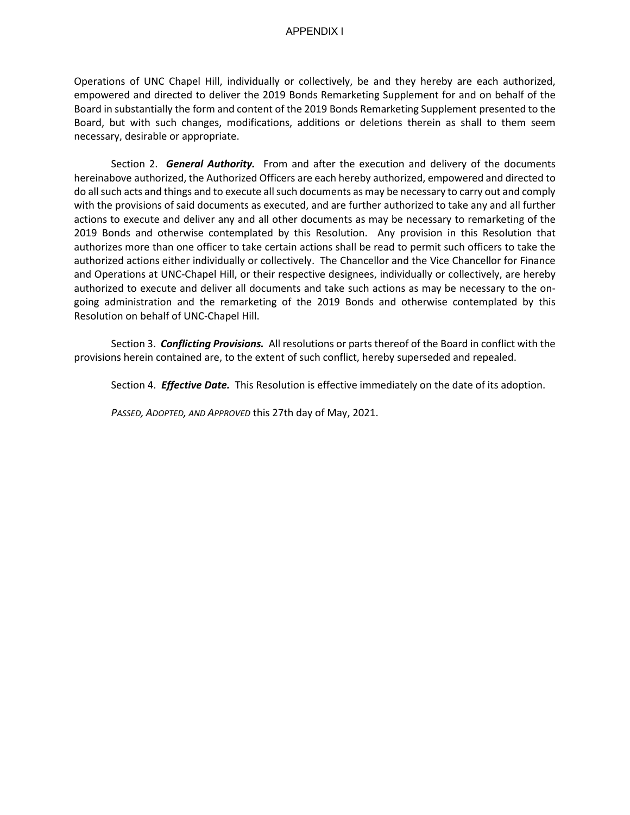Operations of UNC Chapel Hill, individually or collectively, be and they hereby are each authorized, empowered and directed to deliver the 2019 Bonds Remarketing Supplement for and on behalf of the Board in substantially the form and content of the 2019 Bonds Remarketing Supplement presented to the Board, but with such changes, modifications, additions or deletions therein as shall to them seem necessary, desirable or appropriate.

Section 2. *General Authority.* From and after the execution and delivery of the documents hereinabove authorized, the Authorized Officers are each hereby authorized, empowered and directed to do all such acts and things and to execute all such documents as may be necessary to carry out and comply with the provisions of said documents as executed, and are further authorized to take any and all further actions to execute and deliver any and all other documents as may be necessary to remarketing of the 2019 Bonds and otherwise contemplated by this Resolution. Any provision in this Resolution that authorizes more than one officer to take certain actions shall be read to permit such officers to take the authorized actions either individually or collectively. The Chancellor and the Vice Chancellor for Finance and Operations at UNC-Chapel Hill, or their respective designees, individually or collectively, are hereby authorized to execute and deliver all documents and take such actions as may be necessary to the ongoing administration and the remarketing of the 2019 Bonds and otherwise contemplated by this Resolution on behalf of UNC-Chapel Hill.

Section 3. *Conflicting Provisions.* All resolutions or parts thereof of the Board in conflict with the provisions herein contained are, to the extent of such conflict, hereby superseded and repealed.

Section 4. *Effective Date.* This Resolution is effective immediately on the date of its adoption.

 *PASSED, ADOPTED, AND APPROVED* this 27th day of May, 2021.